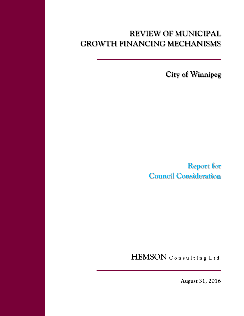# **REVIEW OF MUNICIPAL GROWTH FINANCING MECHANISMS**

**City of Winnipeg** 

**Report for Council Consideration**

**HEMSON C o n s u l t i n g L t d.**

**August 31, 2016**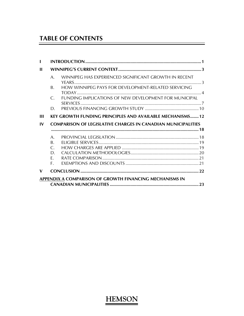## **TABLE OF CONTENTS**

| $\mathbf{H}$ |                                                                     |                                                           |  |  |
|--------------|---------------------------------------------------------------------|-----------------------------------------------------------|--|--|
|              | $A_{-}$                                                             | WINNIPEG HAS EXPERIENCED SIGNIFICANT GROWTH IN RECENT     |  |  |
|              |                                                                     |                                                           |  |  |
|              | B.                                                                  | HOW WINNIPEG PAYS FOR DEVELOPMENT-RELATED SERVICING       |  |  |
|              |                                                                     |                                                           |  |  |
|              | C.                                                                  | FUNDING IMPLICATIONS OF NEW DEVELOPMENT FOR MUNICIPAL     |  |  |
|              | D.                                                                  |                                                           |  |  |
|              |                                                                     |                                                           |  |  |
| Ш            |                                                                     | KEY GROWTH FUNDING PRINCIPLES AND AVAILABLE MECHANISMS 12 |  |  |
| $\mathbf{I}$ | <b>COMPARISON OF LEGISLATIVE CHARGES IN CANADIAN MUNICIPALITIES</b> |                                                           |  |  |
|              |                                                                     |                                                           |  |  |
|              | $A_{\cdot}$                                                         |                                                           |  |  |
|              | B.                                                                  |                                                           |  |  |
|              | $\mathcal{C}$ .                                                     |                                                           |  |  |
|              | D.                                                                  |                                                           |  |  |
|              | F.                                                                  |                                                           |  |  |
|              | F.                                                                  |                                                           |  |  |
| $\mathbf v$  |                                                                     |                                                           |  |  |
|              |                                                                     | APPENDIX A COMPARISON OF GROWTH FINANCING MECHANISMS IN   |  |  |
|              |                                                                     |                                                           |  |  |

 $\overline{a}$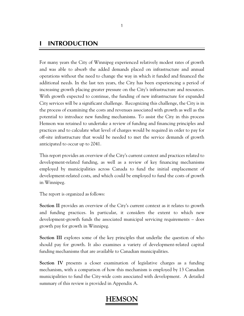### **I INTRODUCTION**

For many years the City of Winnipeg experienced relatively modest rates of growth and was able to absorb the added demands placed on infrastructure and annual operations without the need to change the way in which it funded and financed the additional needs. In the last ten years, the City has been experiencing a period of increasing growth placing greater pressure on the City's infrastructure and resources. With growth expected to continue, the funding of new infrastructure for expanded City services will be a significant challenge. Recognizing this challenge, the City is in the process of examining the costs and revenues associated with growth as well as the potential to introduce new funding mechanisms. To assist the City in this process Hemson was retained to undertake a review of funding and financing principles and practices and to calculate what level of charges would be required in order to pay for off-site infrastructure that would be needed to met the service demands of growth anticipated to occur up to 2041.

This report provides an overview of the City's current context and practices related to development-related funding, as well as a review of key financing mechanisms employed by municipalities across Canada to fund the initial emplacement of development-related costs, and which could be employed to fund the costs of growth in Winnipeg.

The report is organized as follows:

**Section II** provides an overview of the City's current context as it relates to growth and funding practices. In particular, it considers the extent to which new development-growth funds the associated municipal servicing requirements – does growth pay for growth in Winnipeg.

**Section III** explores some of the key principles that underlie the question of who should pay for growth. It also examines a variety of development-related capital funding mechanisms that are available to Canadian municipalities.

**Section IV** presents a closer examination of legislative charges as a funding mechanism, with a comparison of how this mechanism is employed by 13 Canadian municipalities to fund the City-wide costs associated with development. A detailed summary of this review is provided in Appendix A.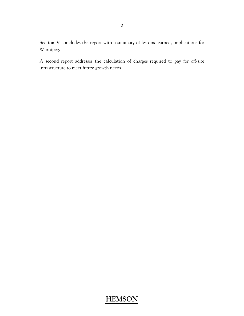**Section V** concludes the report with a summary of lessons learned, implications for Winnipeg.

A second report addresses the calculation of charges required to pay for off-site infrastructure to meet future growth needs.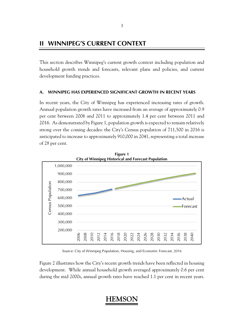### **II WINNIPEG'S CURRENT CONTEXT**

This section describes Winnipeg's current growth context including population and household growth trends and forecasts, relevant plans and policies, and current development funding practices.

#### **A. WINNIPEG HAS EXPERIENCED SIGNIFICANT GROWTH IN RECENT YEARS**

In recent years, the City of Winnipeg has experienced increasing rates of growth. Annual population growth rates have increased from an average of approximately 0.9 per cent between 2006 and 2011 to approximately 1.4 per cent between 2011 and 2016. As demonstrated by Figure 1, population growth is expected to remain relatively strong over the coming decades: the City's Census population of 711,500 in 2016 is anticipated to increase to approximately 910,000 in 2041, representing a total increase of 28 per cent.



Source: City of Winnipeg Population, Housing, and Economic Forecast, 2016

Figure 2 illustrates how the City's recent growth trends have been reflected in housing development. While annual household growth averaged approximately 0.6 per cent during the mid 2000s, annual growth rates have reached 1.1 per cent in recent years.

## **HEMS**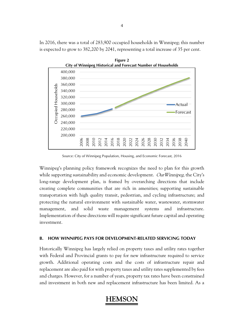In 2016, there was a total of 283,900 occupied households in Winnipeg; this number is expected to grow to 382,200 by 2041, representing a total increase of 35 per cent.



**Figure 2** 

Source: City of Winnipeg Population, Housing, and Economic Forecast, 2016

Winnipeg's planning policy framework recognizes the need to plan for this growth while supporting sustainability and economic development. *Our Winnipeg*, the City's long-range development plan, is framed by overarching directions that include creating complete communities that are rich in amenities; supporting sustainable transportation with high quality transit, pedestrian, and cycling infrastructure; and protecting the natural environment with sustainable water, wastewater, stormwater management, and solid waste management systems and infrastructure. Implementation of these directions will require significant future capital and operating investment.

#### **B. HOW WINNIPEG PAYS FOR DEVELOPMENT-RELATED SERVICING TODAY**

Historically Winnipeg has largely relied on property taxes and utility rates together with Federal and Provincial grants to pay for new infrastructure required to service growth. Additional operating costs and the costs of infrastructure repair and replacement are also paid for with property taxes and utility rates supplemented by fees and charges. However, for a number of years, property tax rates have been constrained and investment in both new and replacement infrastructure has been limited. As a

## **HEMS**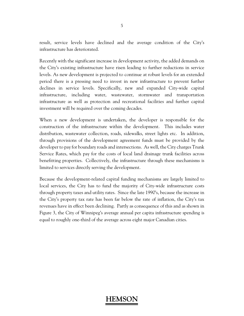result, service levels have declined and the average condition of the City's infrastructure has deteriorated.

Recently with the significant increase in development activity, the added demands on the City's existing infrastructure have risen leading to further reductions in service levels. As new development is projected to continue at robust levels for an extended period there is a pressing need to invest in new infrastructure to prevent further declines in service levels. Specifically, new and expanded City-wide capital infrastructure, including water, wastewater, stormwater and transportation infrastructure as well as protection and recreational facilities and further capital investment will be required over the coming decades.

When a new development is undertaken, the developer is responsible for the construction of the infrastructure within the development. This includes water distribution, wastewater collection, roads, sidewalks, street lights etc. In addition, through provisions of the development agreement funds must be provided by the developer to pay for boundary roads and intersections. As well, the City charges Trunk Service Rates, which pay for the costs of local land drainage trunk facilities across benefitting properties. Collectively, the infrastructure through these mechanisms is limited to services directly serving the development.

Because the development-related capital funding mechanisms are largely limited to local services, the City has to fund the majority of City-wide infrastructure costs through property taxes and utility rates. Since the late 1990's, because the increase in the City's property tax rate has been far below the rate of inflation, the City's tax revenues have in effect been declining. Partly as consequence of this and as shown in Figure 3, the City of Winnipeg's average annual per capita infrastructure spending is equal to roughly one-third of the average across eight major Canadian cities.

## **HEMS**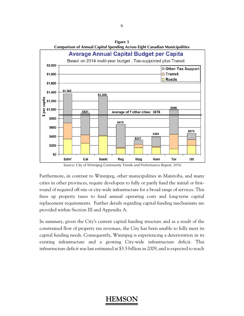

Source: City of Winnipeg Community Trends and Performance Report, 2016

Furthermore, in contrast to Winnipeg, other municipalities in Manitoba, and many cities in other provinces, require developers to fully or partly fund the initial or firstround of required off-site or city-wide infrastructure for a broad range of services. This frees up property taxes to fund annual operating costs and long-term capital replacement requirements. Further details regarding capital funding mechanisms are provided within Section III and Appendix A.

In summary, given the City's current capital funding structure and as a result of the constrained flow of property tax revenues, the City has been unable to fully meet its capital funding needs. Consequently, Winnipeg is experiencing a deterioration in its existing infrastructure and a growing City-wide infrastructure deficit. This infrastructure deficit was last estimated at \$3.5 billion in 2009, and is expected to reach

#### 6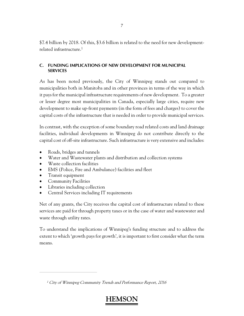\$7.4 billion by 2018. Of this, \$3.6 billion is related to the need for new developmentrelated infrastructure.<sup>1</sup>

#### **C. FUNDING IMPLICATIONS OF NEW DEVELOPMENT FOR MUNICIPAL SERVICES**

As has been noted previously, the City of Winnipeg stands out compared to municipalities both in Manitoba and in other provinces in terms of the way in which it pays for the municipal infrastructure requirements of new development. To a greater or lesser degree most municipalities in Canada, especially large cities, require new development to make up-front payments (in the form of fees and charges) to cover the capital costs of the infrastructure that is needed in order to provide municipal services.

In contrast, with the exception of some boundary road related costs and land drainage facilities, individual developments in Winnipeg do not contribute directly to the capital cost of off-site infrastructure. Such infrastructure is very extensive and includes:

- Roads, bridges and tunnels
- Water and Wastewater plants and distribution and collection systems
- Waste collection facilities
- EMS (Police, Fire and Ambulance) facilities and fleet
- Transit equipment

 $\overline{a}$ 

- Community Facilities
- Libraries including collection
- Central Services including IT requirements

Net of any grants, the City receives the capital cost of infrastructure related to these services are paid for through property taxes or in the case of water and wastewater and waste through utility rates.

To understand the implications of Winnipeg's funding structure and to address the extent to which 'growth pays for growth', it is important to first consider what the term means.

<sup>1</sup> City of Winnipeg Community Trends and Performance Report, 2016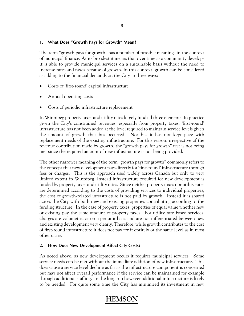#### **1. What Does "Growth Pays for Growth" Mean?**

The term "growth pays for growth" has a number of possible meanings in the context of municipal finance. At its broadest it means that over time as a community develops it is able to provide municipal services on a sustainable basis without the need to increase rates and taxes because of growth. In this context, growth can be considered as adding to the financial demands on the City in three ways:

- Costs of 'first-round' capital infrastructure
- Annual operating costs
- Costs of periodic infrastructure replacement

In Winnipeg property taxes and utility rates largely fund all three elements. In practice given the City's constrained revenues, especially from property taxes, 'first-round' infrastructure has not been added at the level required to maintain service levels given the amount of growth that has occurred. Nor has it has not kept pace with replacement needs of the existing infrastructure. For this reason, irrespective of the revenue contribution made by growth, the "growth pays for growth" test is not being met since the required amount of new infrastructure is not being provided.

The other narrower meaning of the term "growth pays for growth" commonly refers to the concept that new development pays directly for 'first-round' infrastructure through fees or charges. This is the approach used widely across Canada but only to very limited extent in Winnipeg. Instead infrastructure required for new development is funded by property taxes and utility rates. Since neither property taxes nor utility rates are determined according to the costs of providing services to individual properties, the cost of growth-related infrastructure is not paid by growth. Instead it is shared across the City with both new and existing properties contributing according to the funding structure. In the case of property taxes, properties of equal value whether new or existing pay the same amount of property taxes. For utility rate based services, charges are volumetric or on a per unit basis and are not differentiated between new and existing development very clearly. Therefore, while growth contributes to the cost of first-round infrastructure it does not pay for it entirely or the same level as in most other cities.

#### **2. How Does New Development Affect City Costs?**

As noted above, as new development occurs it requires municipal services. Some service needs can be met without the immediate addition of new infrastructure. This does cause a service level decline as far as the infrastructure component is concerned but may not affect overall performance if the service can be maintained for example through additional staffing. In the long run however additional infrastructure is likely to be needed. For quite some time the City has minimized its investment in new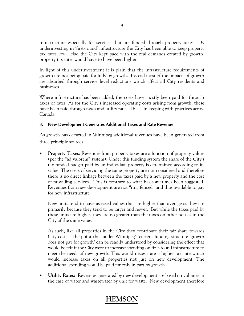infrastructure especially for services that are funded through property taxes. By underinvesting in 'first-round' infrastructure the City has been able to keep property tax rates low. Had the City kept pace with the real demands created by growth, property tax rates would have to have been higher.

In light of this underinvestment it is plain that the infrastructure requirements of growth are not being paid for fully by growth. Instead most of the impacts of growth are absorbed through service level reductions which affect all City residents and businesses.

Where infrastructure has been added, the costs have mostly been paid for through taxes or rates. As for the City's increased operating costs arising from growth, these have been paid through taxes and utility rates. This is in keeping with practices across Canada.

#### **3. New Development Generates Additional Taxes and Rate Revenue**

As growth has occurred in Winnipeg additional revenues have been generated from three principle sources.

 **Property Taxes**: Revenues from property taxes are a function of property values (per the "ad valorem" system). Under this funding system the share of the City's tax funded budget paid by an individual property is determined according to its value. The costs of servicing the same property are not considered and therefore there is no direct linkage between the taxes paid by a new property and the cost of providing services. This is contrary to what has sometimes been suggested. Revenues from new development are not "ring fenced" and thus available to pay for new infrastructure.

New units tend to have assessed values that are higher than average as they are primarily because they tend to be larger and newer. But while the taxes paid by these units are higher, they are no greater than the taxes on other houses in the City of the same value.

As such, like all properties in the City they contribute their fair share towards City costs. The point that under Winnipeg's current funding structure 'growth does not pay for growth' can be readily understood by considering the effect that would be felt if the City were to increase spending on first-round infrastructure to meet the needs of new growth. This would necessitate a higher tax rate which would increase taxes on all properties not just on new development. The additional spending would be paid for only in part by growth.

 **Utility Rates:** Revenues generated by new development are based on volumes in the case of water and wastewater by unit for waste. New development therefore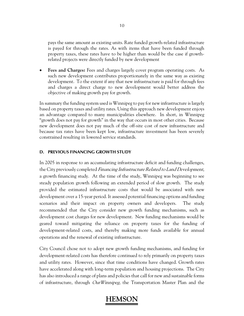pays the same amount as existing units. Rate funded growth-related infrastructure is payed for through the rates. As with items that have been funded through property taxes, these rates have to be higher than would be the case if growthrelated projects were directly funded by new development

 **Fees and Charges:** Fees and charges largely cover program operating costs. As such new development contributes proportionately in the same way as existing development. To the extent if any that new infrastructure is paid for through fees and charges a direct charge to new development would better address the objective of making growth pay for growth.

In summary the funding system used is Winnipeg to pay for new infrastructure is largely based on property taxes and utility rates. Using this approach new development enjoys an advantage compared to many municipalities elsewhere. In short, in Winnipeg "growth does not pay for growth" in the way that occurs in most other cities. Because new development does not pay much of the off-site cost of new infrastructure and because tax rates have been kept low, infrastructure investment has been severely constrained resulting in lowered service standards.

#### **D. PREVIOUS FINANCING GROWTH STUDY**

In 2005 in response to an accumulating infrastructure deficit and funding challenges, the City previously completed Financing Infrastructure Related to Land Development, a growth financing study. At the time of the study, Winnipeg was beginning to see steady population growth following an extended period of slow growth. The study provided the estimated infrastructure costs that would be associated with new development over a 15-year period. It assessed potential financing options and funding scenarios and their impact on property owners and developers. The study recommended that the City consider new growth funding mechanisms, such as development cost charges for new development. New funding mechanisms would be geared toward mitigating the reliance on property taxes for the funding of development-related costs, and thereby making more funds available for annual operations and the renewal of existing infrastructure.

City Council chose not to adopt new growth funding mechanisms, and funding for development-related costs has therefore continued to rely primarily on property taxes and utility rates. However, since that time conditions have changed. Growth rates have accelerated along with long-term population and housing projections. The City has also introduced a range of plans and policies that call for new and sustainable forms of infrastructure, through *OurWinnipeg*, the Transportation Master Plan and the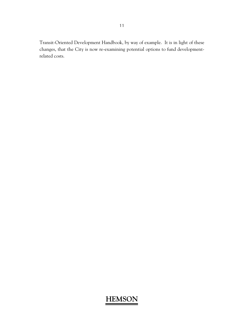Transit-Oriented Development Handbook, by way of example. It is in light of these changes, that the City is now re-examining potential options to fund developmentrelated costs.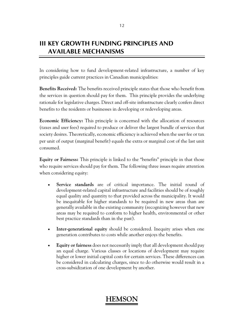## **III KEY GROWTH FUNDING PRINCIPLES AND AVAILABLE MECHANISMS**

In considering how to fund development-related infrastructure, a number of key principles guide current practices in Canadian municipalities:

**Benefits Received:** The benefits received principle states that those who benefit from the services in question should pay for them. This principle provides the underlying rationale for legislative charges. Direct and off-site infrastructure clearly confers direct benefits to the residents or businesses in developing or redeveloping areas.

**Economic Efficiency:** This principle is concerned with the allocation of resources (taxes and user fees) required to produce or deliver the largest bundle of services that society desires. Theoretically, economic efficiency is achieved when the user fee or tax per unit of output (marginal benefit) equals the extra or marginal cost of the last unit consumed.

**Equity or Fairness:** This principle is linked to the "benefits" principle in that those who require services should pay for them. The following three issues require attention when considering equity:

- **Service standards** are of critical importance. The initial round of development-related capital infrastructure and facilities should be of roughly equal quality and quantity to that provided across the municipality. It would be inequitable for higher standards to be required in new areas than are generally available in the existing community (recognizing however that new areas may be required to conform to higher health, environmental or other best practice standards than in the past).
- **Inter-generational equity** should be considered. Inequity arises when one generation contributes to costs while another enjoys the benefits.
- **Equity or fairness** does not necessarily imply that all development should pay an equal charge. Various classes or locations of development may require higher or lower initial capital costs for certain services. These differences can be considered in calculating charges, since to do otherwise would result in a cross-subsidization of one development by another.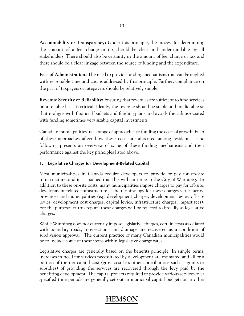**Accountability or Transparency:** Under this principle, the process for determining the amount of a fee, charge or tax should be clear and understandable by all stakeholders. There should also be certainty in the amount of fee, charge or tax and there should be a clear linkage between the source of funding and the expenditure.

**Ease of Administration:** The need to provide funding mechanisms that can be applied with reasonable time and cost is addressed by this principle. Further, compliance on the part of taxpayers or ratepayers should be relatively simple.

**Revenue Security or Reliability:** Ensuring that revenues are sufficient to fund services on a reliable basis is critical. Ideally, the revenue should be stable and predictable so that it aligns with financial budgets and funding plans and avoids the risk associated with funding sometimes very sizable capital investments.

Canadian municipalities use a range of approaches to funding the costs of growth. Each of these approaches affect how these costs are allocated among residents. The following presents an overview of some of these funding mechanisms and their performance against the key principles listed above.

#### **1. Legislative Charges for Development-Related Capital**

Most municipalities in Canada require developers to provide or pay for on-site infrastructure, and it is assumed that this will continue in the City of Winnipeg. In addition to these on-site costs, many municipalities impose charges to pay for off-site, development-related infrastructure. The terminology for these charges varies across provinces and municipalities (e.g. development charges, development levies, off-site levies, development cost charges, capital levies, infrastructure charges, impact fees). For the purposes of this report, these charges will be referred to broadly as legislative charges.

While Winnipeg does not currently impose legislative charges, certain costs associated with boundary roads, intersections and drainage are recovered as a condition of subdivision approval. The current practice of many Canadian municipalities would be to include some of these items within legislative charge rates.

Legislative charges are generally based on the benefits principle. In simple terms, increases in need for services necessitated by development are estimated and all or a portion of the net capital cost (gross cost less other contributions such as grants or subsidies) of providing the services are recovered through the levy paid by the benefiting development. The capital projects required to provide various services over specified time periods are generally set out in municipal capital budgets or in other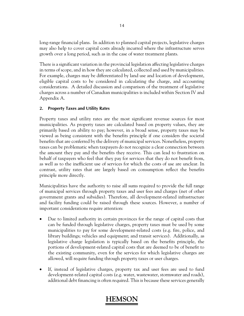long-range financial plans. In addition to planned capital projects, legislative charges may also help to cover capital costs already incurred where the infrastructure serves growth over a long period, such as in the case of water treatment plants.

There is a significant variation in the provincial legislation affecting legislative charges in terms of scope, and in how they are calculated, collected and used by municipalities. For example, charges may be differentiated by land use and location of development, eligible capital costs to be considered in calculating the charge, and accounting considerations. A detailed discussion and comparison of the treatment of legislative charges across a number of Canadian municipalities is included within Section IV and Appendix A.

#### **2. Property Taxes and Utility Rates**

Property taxes and utility rates are the most significant revenue sources for most municipalities. As property taxes are calculated based on property values, they are primarily based on ability to pay; however, in a broad sense, property taxes may be viewed as being consistent with the benefits principle if one considers the societal benefits that are conferred by the delivery of municipal services. Nonetheless, property taxes can be problematic when taxpayers do not recognize a clear connection between the amount they pay and the benefits they receive. This can lead to frustration on behalf of taxpayers who feel that they pay for services that they do not benefit from, as well as to the inefficient use of services for which the costs of use are unclear. In contrast, utility rates that are largely based on consumption reflect the benefits principle more directly.

Municipalities have the authority to raise all sums required to provide the full range of municipal services through property taxes and user fees and charges (net of other government grants and subsidies). Therefore, all development-related infrastructure and facility funding could be raised through these sources. However, a number of important considerations require attention:

- Due to limited authority in certain provinces for the range of capital costs that can be funded through legislative charges, property taxes must be used by some municipalities to pay for some development-related costs (e.g. fire, police, and library buildings; vehicles and equipment; and transit services). Additionally, as legislative charge legislation is typically based on the benefits principle, the portions of development-related capital costs that are deemed to be of benefit to the existing community, even for the services for which legislative charges are allowed, will require funding through property taxes or user charges.
- If, instead of legislative charges, property tax and user fees are used to fund development-related capital costs (e.g. water, wastewater, stormwater and roads), additional debt financing is often required. This is because these services generally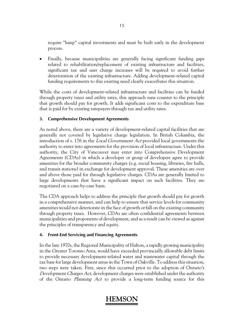require "lump" capital investments and must be built early in the development process.

 Finally, because municipalities are generally facing significant funding gaps related to rehabilitation/replacement of existing infrastructure and facilities, significant tax and user charge increases will be required to avoid further deterioration of the existing infrastructure. Adding development-related capital funding requirements to this existing need clearly exacerbates this situation.

While the costs of development-related infrastructure and facilities can be funded through property taxes and utility rates, this approach runs counter to the principle that growth should pay for growth. It adds significant costs to the expenditure base that is paid for by existing ratepayers through tax and utility rates.

#### **3. Comprehensive Development Agreements**

As noted above, there are a variety of development-related capital facilities that are generally not covered by legislative charge legislation. In British Columbia, the introduction of s. 176 in the *Local Government Act* provided local governments the authority to enter into agreements for the provision of local infrastructure. Under this authority, the City of Vancouver may enter into Comprehensive Development Agreements (CDAs) in which a developer or group of developers agree to provide amenities for the broader community charges (e.g. social housing, libraries, fire halls, and transit stations) in exchange for development approval. These amenities are over and above those paid for through legislative charges. CDAs are generally limited to large developments that have a significant impact on such facilities. They are negotiated on a case-by-case basis.

The CDA approach helps to address the principle that growth should pay for growth in a comprehensive manner, and can help to ensure that service levels for community amenities would not deteriorate in the face of growth or fall on the existing community through property taxes. However, CDAs are often confidential agreements between municipalities and proponents of development, and as a result can be viewed as against the principles of transparency and equity.

#### **4. Front-End Servicing and Financing Agreements**

In the late 1970s, the Regional Municipality of Halton, a rapidly growing municipality in the Greater Toronto Area, would have exceeded provincially allowable debt limits to provide necessary development-related water and wastewater capital through the tax base for large development areas in the Town of Oakville. To address this situation, two steps were taken. First, since this occurred prior to the adoption of Ontario's Development Charges Act, development charges were established under the authority of the Ontario Planning Act to provide a long-term funding source for this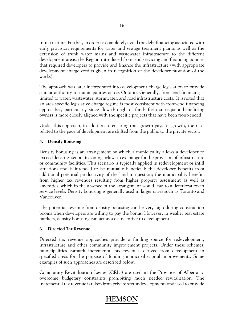infrastructure. Further, in order to completely avoid the debt financing associated with early provision requirements for water and sewage treatment plants as well as the extension of trunk water mains and wastewater infrastructure to the different development areas, the Region introduced front-end servicing and financing policies that required developers to provide and finance the infrastructure (with appropriate development charge credits given in recognition of the developer provision of the works).

The approach was later incorporated into development charge legislation to provide similar authority to municipalities across Ontario. Generally, front-end financing is limited to water, wastewater, stormwater, and road infrastructure costs. It is noted that an area specific legislative charge regime is most consistent with front-end financing approaches, particularly since flow-through of funds from subsequent benefitting owners is more closely aligned with the specific projects that have been front-ended.

Under this approach, in addition to ensuring that growth pays for growth, the risks related to the pace of development are shifted from the public to the private sector.

#### **5. Density Bonusing**

Density bonusing is an arrangement by which a municipality allows a developer to exceed densities set out in zoning bylaws in exchange for the provision of infrastructure or community facilities. This scenario is typically applied in redevelopment or infill situations and is intended to be mutually beneficial: the developer benefits from additional potential productivity of the land in question; the municipality benefits from higher tax revenues resulting from higher property assessment as well as amenities, which in the absence of the arrangement would lead to a deterioration in service levels. Density bonusing is generally used in larger cities such as Toronto and Vancouver.

The potential revenue from density bonusing can be very high during construction booms when developers are willing to pay the bonus. However, in weaker real estate markets, density bonusing can act as a disincentive to development.

#### **6. Directed Tax Revenue**

Directed tax revenue approaches provide a funding source for redevelopment, infrastructure and other community improvement projects. Under these schemes, municipalities earmark incremental tax revenues derived from development in specified areas for the purpose of funding municipal capital improvements. Some examples of such approaches are described below.

Community Revitalization Levies (CRLs) are used in the Province of Alberta to overcome budgetary constraints prohibiting much needed revitalization. The incremental tax revenue is taken from private sector developments and used to provide

#### 16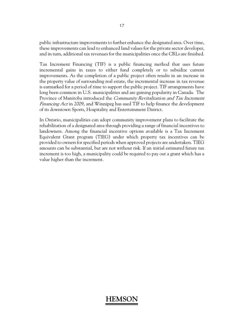public infrastructure improvements to further enhance the designated area. Over time, these improvements can lead to enhanced land values for the private sector developer, and in turn, additional tax revenues for the municipalities once the CRLs are finished.

Tax Increment Financing (TIF) is a public financing method that uses future incremental gains in taxes to either fund completely or to subsidize current improvements. As the completion of a public project often results in an increase in the property value of surrounding real estate, the incremental increase in tax revenue is earmarked for a period of time to support the public project. TIF arrangements have long been common in U.S. municipalities and are gaining popularity in Canada. The Province of Manitoba introduced the *Community Revitalization and Tax Increment* Financing Act in 2009, and Winnipeg has used TIF to help finance the development of its downtown Sports, Hospitality and Entertainment District.

In Ontario, municipalities can adopt community improvement plans to facilitate the rehabilitation of a designated area through providing a range of financial incentives to landowners. Among the financial incentive options available is a Tax Increment Equivalent Grant program (TIEG) under which property tax incentives can be provided to owners for specified periods when approved projects are undertaken. TIEG amounts can be substantial, but are not without risk. If an initial estimated future tax increment is too high, a municipality could be required to pay out a grant which has a value higher than the increment.

#### 17

### **HEMSC**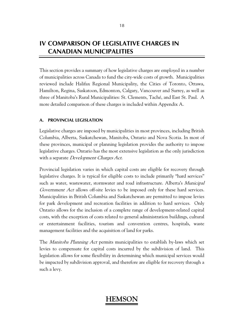## **IV COMPARISON OF LEGISLATIVE CHARGES IN CANADIAN MUNICIPALITIES**

This section provides a summary of how legislative charges are employed in a number of municipalities across Canada to fund the city-wide costs of growth. Municipalities reviewed include Halifax Regional Municipality, the Cities of Toronto, Ottawa, Hamilton, Regina, Saskatoon, Edmonton, Calgary, Vancouver and Surrey, as well as three of Manitoba's Rural Municipalities: St. Clements, Taché, and East St. Paul. A more detailed comparison of these charges is included within Appendix A.

#### **A. PROVINCIAL LEGISLATION**

Legislative charges are imposed by municipalities in most provinces, including British Columbia, Alberta, Saskatchewan, Manitoba, Ontario and Nova Scotia. In most of these provinces, municipal or planning legislation provides the authority to impose legislative charges. Ontario has the most extensive legislation as the only jurisdiction with a separate *Development Charges Act*.

Provincial legislation varies in which capital costs are eligible for recovery through legislative charges. It is typical for eligible costs to include primarily "hard services" such as water, wastewater, stormwater and road infrastructure. Alberta's *Municipal* Government Act allows off-site levies to be imposed only for these hard services. Municipalities in British Columbia and Saskatchewan are permitted to impose levies for park development and recreation facilities in addition to hard services. Only Ontario allows for the inclusion of a complete range of development-related capital costs, with the exception of costs related to general administration buildings, cultural or entertainment facilities, tourism and convention centres, hospitals, waste management facilities and the acquisition of land for parks.

The *Manitoba Planning Act* permits municipalities to establish by-laws which set levies to compensate for capital costs incurred by the subdivision of land. This legislation allows for some flexibility in determining which municipal services would be impacted by subdivision approval, and therefore are eligible for recovery through a such a levy.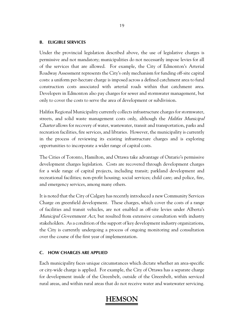#### **B. ELIGIBLE SERVICES**

Under the provincial legislation described above, the use of legislative charges is permissive and not mandatory; municipalities do not necessarily impose levies for all of the services that are allowed. For example, the City of Edmonton's Arterial Roadway Assessment represents the City's only mechanism for funding off-site capital costs: a uniform per-hectare charge is imposed across a defined catchment area to fund construction costs associated with arterial roads within that catchment area. Developers in Edmonton also pay charges for sewer and stormwater management, but only to cover the costs to serve the area of development or subdivision.

Halifax Regional Municipality currently collects infrastructure charges for stormwater, streets, and solid waste management costs only, although the *Halifax Municipal* Charter allows for recovery of water, wastewater, transit and transportation, parks and recreation facilities, fire services, and libraries. However, the municipality is currently in the process of reviewing its existing infrastructure charges and is exploring opportunities to incorporate a wider range of capital costs.

The Cities of Toronto, Hamilton, and Ottawa take advantage of Ontario's permissive development charges legislation. Costs are recovered through development charges for a wide range of capital projects, including transit; parkland development and recreational facilities; non-profit housing; social services; child care; and police, fire, and emergency services, among many others.

It is noted that the City of Calgary has recently introduced a new Community Services Charge on greenfield development. These charges, which cover the costs of a range of facilities and transit vehicles, are not enabled as off-site levies under Alberta's Municipal Government Act, but resulted from extensive consultation with industry stakeholders. As a condition of the support of key development industry organizations, the City is currently undergoing a process of ongoing monitoring and consultation over the course of the first year of implementation.

#### **C. HOW CHARGES ARE APPLIED**

Each municipality faces unique circumstances which dictate whether an area-specific or city-wide charge is applied. For example, the City of Ottawa has a separate charge for development inside of the Greenbelt, outside of the Greenbelt, within serviced rural areas, and within rural areas that do not receive water and wastewater servicing.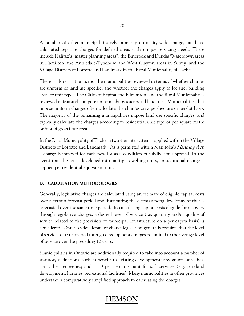A number of other municipalities rely primarily on a city-wide charge, but have calculated separate charges for defined areas with unique servicing needs: These include Halifax's "master planning areas", the Binbrook and Dundas/Waterdown areas in Hamilton, the Anniedale-Tynehead and West Clayton areas in Surrey, and the Village Districts of Lorrette and Landmark in the Rural Municipality of Taché.

There is also variation across the municipalities reviewed in terms of whether charges are uniform or land use specific, and whether the charges apply to lot size, building area, or unit type. The Cities of Regina and Edmonton, and the Rural Municipalities reviewed in Manitoba impose uniform charges across all land uses. Municipalities that impose uniform charges often calculate the charges on a per-hectare or per-lot basis. The majority of the remaining municipalities impose land use specific charges, and typically calculate the charges according to residential unit type or per square metre or foot of gross floor area.

In the Rural Municipality of Taché, a two-tier rate system is applied within the Village Districts of Lorrette and Landmark. As is permitted within Manitoba's Planning Act, a charge is imposed for each new lot as a condition of subdivision approval. In the event that the lot is developed into multiple dwelling units, an additional charge is applied per residential equivalent unit.

#### **D. CALCULATION METHODOLOGIES**

Generally, legislative charges are calculated using an estimate of eligible capital costs over a certain forecast period and distributing these costs among development that is forecasted over the same time period. In calculating capital costs eligible for recovery through legislative charges, a desired level of service (i.e. quantity and/or quality of service related to the provision of municipal infrastructure on a per capita basis) is considered. Ontario's development charge legislation generally requires that the level of service to be recovered through development charges be limited to the average level of service over the preceding 10 years.

Municipalities in Ontario are additionally required to take into account a number of statutory deductions, such as benefit to existing development; any grants, subsidies, and other recoveries; and a 10 per cent discount for soft services (e.g. parkland development, libraries, recreational facilities). Many municipalities in other provinces undertake a comparatively simplified approach to calculating the charges.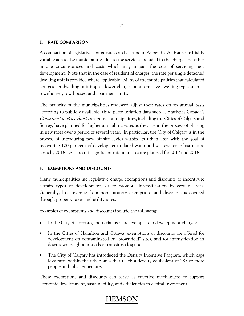#### **E. RATE COMPARISON**

A comparison of legislative charge rates can be found in Appendix A. Rates are highly variable across the municipalities due to the services included in the charge and other unique circumstances and costs which may impact the cost of servicing new development. Note that in the case of residential charges, the rate per single detached dwelling unit is provided where applicable. Many of the municipalities that calculated charges per dwelling unit impose lower charges on alternative dwelling types such as townhouses, row houses, and apartment units.

The majority of the municipalities reviewed adjust their rates on an annual basis according to publicly available, third party inflation data such as Statistics Canada's Construction Price Statistics. Some municipalities, including the Cities of Calgary and Surrey, have planned for higher annual increases as they are in the process of phasing in new rates over a period of several years. In particular, the City of Calgary is in the process of introducing new off-site levies within its urban area with the goal of recovering 100 per cent of development-related water and wastewater infrastructure costs by 2018. As a result, significant rate increases are planned for 2017 and 2018.

#### **F. EXEMPTIONS AND DISCOUNTS**

Many municipalities use legislative charge exemptions and discounts to incentivize certain types of development, or to promote intensification in certain areas. Generally, lost revenue from non-statutory exemptions and discounts is covered through property taxes and utility rates.

Examples of exemptions and discounts include the following:

- In the City of Toronto, industrial uses are exempt from development charges;
- In the Cities of Hamilton and Ottawa, exemptions or discounts are offered for development on contaminated or "brownfield" sites, and for intensification in downtown neighbourhoods or transit nodes; and
- The City of Calgary has introduced the Density Incentive Program, which caps levy rates within the urban area that reach a density equivalent of 285 or more people and jobs per hectare.

These exemptions and discounts can serve as effective mechanisms to support economic development, sustainability, and efficiencies in capital investment.

#### 21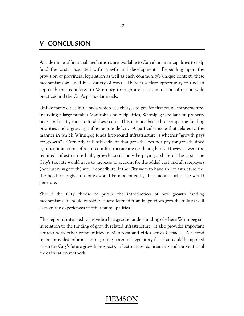### **V CONCLUSION**

A wide range of financial mechanisms are available to Canadian municipalities to help fund the costs associated with growth and development. Depending upon the provision of provincial legislation as well as each community's unique context, these mechanisms are used in a variety of ways. There is a clear opportunity to find an approach that is tailored to Winnipeg through a close examination of nation-wide practices and the City's particular needs.

Unlike many cities in Canada which use charges to pay for first-round infrastructure, including a large number Manitoba's municipalities, Winnipeg is reliant on property taxes and utility rates to fund these costs. This reliance has led to competing funding priorities and a growing infrastructure deficit. A particular issue that relates to the manner in which Winnipeg funds first-round infrastructure is whether "growth pays for growth". Currently it is self evident that growth does not pay for growth since significant amounts of required infrastructure are not being built. However, were the required infrastructure built, growth would only be paying a share of the cost. The City's tax rate would have to increase to account for the added cost and all ratepayers (not just new growth) would contribute. If the City were to have an infrastructure fee, the need for higher tax rates would be moderated by the amount such a fee would generate.

Should the City choose to pursue the introduction of new growth funding mechanisms, it should consider lessons learned from its previous growth study as well as from the experiences of other municipalities.

This report is intended to provide a background understanding of where Winnipeg sits in relation to the funding of growth related infrastructure. It also provides important context with other communities in Manitoba and cities across Canada. A second report provides information regarding potential regulatory fees that could be applied given the City's future growth prospects, infrastructure requirements and conventional fee calculation methods.

#### 22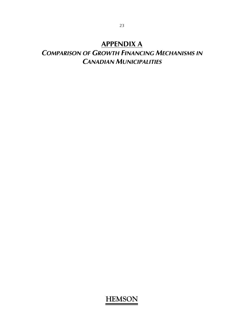# **APPENDIX A**

# *COMPARISON OF GROWTH FINANCING MECHANISMS IN CANADIAN MUNICIPALITIES*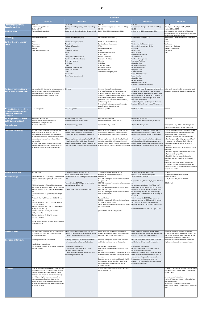|                                                                    | Municipality                                                                                          |                                                                                                 |                                                                                                                                                |                                                                                                      |                                                                                                                                                                                         |
|--------------------------------------------------------------------|-------------------------------------------------------------------------------------------------------|-------------------------------------------------------------------------------------------------|------------------------------------------------------------------------------------------------------------------------------------------------|------------------------------------------------------------------------------------------------------|-----------------------------------------------------------------------------------------------------------------------------------------------------------------------------------------|
|                                                                    | Halifax, NS                                                                                           | <b>Toronto, ON</b>                                                                              | Ottawa, ON                                                                                                                                     | Hamilton, ON                                                                                         | Regina, SK                                                                                                                                                                              |
| Population (2011 census)                                           | 390,096                                                                                               | 2,615,060                                                                                       | 883.391                                                                                                                                        | 519,949                                                                                              | 193,100                                                                                                                                                                                 |
| <b>Governing legislation</b><br><b>Municipal By-law</b>            | Halifax Municipal Charter<br>Section 104(1)<br>Regional Subdivision By-law                            | Development Charges Act, 1997 and O.Reg.<br>82/98<br>By-law No. 1347-2013, adopted October 2013 | Development Charges Act, 1997 and O.Reg.<br>82/98<br>By-law 2014-229, adopted June 2014                                                        | Development Charges Act, 1997 and O.Reg.<br>82/98<br>By-law No. 14-153, adopted June 2014            | Planning and Development Act, 2007<br>Section 169 and 172<br>Administration and Calculation of Servicing<br>Agreement Fees and Development Levies polcy,<br>last reviewed December 2009 |
| <b>Terminology</b>                                                 | Infrastructure Charges                                                                                | Development Charges (DCs)                                                                       | Development Charges (DCs)                                                                                                                      | Development Charges (DCs)                                                                            | Development Levies and Servicing Agreement<br>Fees                                                                                                                                      |
| Services Recovered for under                                       | Water<br>Wastewater                                                                                   | Spadina Subway Extension<br>Transit                                                             | Roads and Related Services<br>Sanitary Sewer (Wastewater)                                                                                      | Water<br>Wastewater Facilities and Linear                                                            | Water<br>Wastewater                                                                                                                                                                     |
| By-law                                                             | Stormwater                                                                                            | Parks and Recreation                                                                            | Water                                                                                                                                          | Stormwater Drainage and Contol                                                                       | Stormwater / Drainage                                                                                                                                                                   |
|                                                                    | <b>Streets</b><br>Solid Waste Management                                                              | Library<br><b>Subsidized Housing</b>                                                            | Stormwater Drainage<br>Police                                                                                                                  | Highways<br><b>Public Works</b>                                                                      | Roads / Transportation<br>Recreation                                                                                                                                                    |
|                                                                    |                                                                                                       | Police<br>Fire                                                                                  | Emergency Services (Fire)<br><b>Public Transit</b>                                                                                             | <b>Police Services</b><br><b>Fire Protection Services</b>                                            | Parks                                                                                                                                                                                   |
|                                                                    |                                                                                                       | <b>Emergency Medical Services</b><br>Development-Related Studies                                | Parks Development<br><b>Recreation Facilities</b>                                                                                              | <b>Transit Services</b><br><b>Parkland Development</b>                                               |                                                                                                                                                                                         |
|                                                                    |                                                                                                       | Civic Improvements<br>Child Care                                                                | Libraries<br>Child Care                                                                                                                        | <b>Recreation Facilities</b><br><b>Library Services</b>                                              |                                                                                                                                                                                         |
|                                                                    |                                                                                                       | Health<br>Pedestrian Infrastructure                                                             | <b>Works and Yards</b><br>Paramedic Service                                                                                                    | <b>Administrative Studies</b><br><b>Ambulance Services</b>                                           |                                                                                                                                                                                         |
|                                                                    |                                                                                                       | Roads and Related                                                                               | <b>Corporate Studies</b>                                                                                                                       | Long Term Care                                                                                       |                                                                                                                                                                                         |
|                                                                    |                                                                                                       | Water<br><b>Sanitary Sewer</b>                                                                  | Affordable Housing Program                                                                                                                     | <b>Health Services</b><br>Social & Child Services                                                    |                                                                                                                                                                                         |
|                                                                    |                                                                                                       | Storm Water Management                                                                          |                                                                                                                                                | Social Housing<br><b>Airport Services</b>                                                            |                                                                                                                                                                                         |
|                                                                    |                                                                                                       |                                                                                                 |                                                                                                                                                | <b>Parking Services</b><br>Provincial Offenses Act                                                   |                                                                                                                                                                                         |
|                                                                    |                                                                                                       |                                                                                                 |                                                                                                                                                | Hamilton Conservation Authority                                                                      |                                                                                                                                                                                         |
| Do charges apply municipality-<br>wide or based on service areas?  | Municipality-wide charges for water, wastewater, City-wide<br>and solid waste management. Charges for |                                                                                                 | City-wide charges for most services.<br>Area-specific charges for four broad areas                                                             | Generally City-wide. Charges are uniform within<br>the urban area. Outside of the urban area.        | Rates apply across the City but are calculated<br>separately for greenfield vs. infill development                                                                                      |
|                                                                    | additional services are levied on an area-<br>specific basis for Master Planning areas.               |                                                                                                 | (Inside or outside of the Greenbelt; rural<br>serviced or unserviced) for collector roads, water are detemined according to the urban services | charges for water, wastewater, and stormwater                                                        |                                                                                                                                                                                         |
|                                                                    |                                                                                                       |                                                                                                 | distribution, sanitary sewer collection,<br>protection, some recreation, library facilities,                                                   | required or used, while charges for all other<br>services remain uniform.                            |                                                                                                                                                                                         |
|                                                                    |                                                                                                       |                                                                                                 | and servicing studies.<br>In specified locations, area-specific charges                                                                        | Additional Special Area Charges apply at two                                                         |                                                                                                                                                                                         |
|                                                                    |                                                                                                       |                                                                                                 | apply for storm drainage ponds.                                                                                                                | locations (Binbrook and Dundas/Waterdown).                                                           |                                                                                                                                                                                         |
| Are charges land use specific or<br>uniform across land uses (e.g. | Land use specific                                                                                     | Land use specific                                                                               | Land use specific                                                                                                                              | Land use specific                                                                                    | Uniform                                                                                                                                                                                 |
| residential, commercial<br>industrial)?                            |                                                                                                       |                                                                                                 |                                                                                                                                                |                                                                                                      |                                                                                                                                                                                         |
| Are charges applied to lot size,                                   | Residential: By unit type                                                                             | Residential: By unit type                                                                       | Residential: By unit type                                                                                                                      | Residential: By unit type                                                                            | Per hectare                                                                                                                                                                             |
| building area or unit type?                                        | Non-residential: Per square foot GFA<br>Area-specific charges: Per acre                               | Non-residential: Per square metre                                                               | Non-residential: Per square foot GFA                                                                                                           | Non-residential: Per square foot/metre GFA                                                           |                                                                                                                                                                                         |
| <b>Timing of charge</b>                                            | At time of subdivision                                                                                | At time of building permit                                                                      | At time of building permit                                                                                                                     | At time of building permit                                                                           | Development Levy: At time of building permit<br>Servicing Agreement: At time of subdivision                                                                                             |
| Calculation methodology                                            | Not specified in legislation. Current charges<br>were levied in accordance with the 2000              | As per provincial legislation, 10-year historic<br>average service levels are calculated. Both  | As per provincial legislation, 10-year historic<br>average service levels are calculated. Both                                                 | As per provincial legislation, 10-year historic<br>average service levels are calculated. Both       | A cash-flow model is used to calculate Servicing<br>Agreement Fee and Development Levy rates.                                                                                           |
|                                                                    | Infrastructure Charges Best Practices Guide:<br>1. Total capital costs of oversized infrastructure,   | quantity and quality of service is considered.                                                  | quantity and quality of service is considered.                                                                                                 | quantity and quality of service is considered.                                                       | The following steps are required:<br>1. Establish inflation rate and interest rates                                                                                                     |
|                                                                    | less portion of projects that will benefit the<br>Municipality                                        | 10-year capital cost estimate, less legislated<br>reductions: benefit to existing development;  | 10-year capital cost estimate, less legislated<br>reductions: benefit to existing development;                                                 | 10-year capital cost estimate, less legislated<br>reductions: benefit to existing development;       | 2. Set the opening Servicing Agreement Fee /<br>Development Levy Reserve Cash Balance                                                                                                   |
|                                                                    | 2. Costs are allocated based on the net land                                                          | existing excess capacity; grants, subsidies, and                                                | existing excess capacity; grants, subsidies, and                                                                                               | existing excess capacity; grants, subsidies, and                                                     | 3. Calculate outstanding fees/levies to be                                                                                                                                              |
|                                                                    | area and average density of the parcel being<br>subdivided based on type of development               | other recoveries; 10% discount for soft services.                                               | other recoveries; 10% discount for soft services.                                                                                              | other recoveries; 10% discount for soft services.                                                    | collected<br>4. Establish development projections for infill &                                                                                                                          |
|                                                                    |                                                                                                       |                                                                                                 |                                                                                                                                                |                                                                                                      | greenfield<br>5. Establish payment schedule for fees/levies                                                                                                                             |
|                                                                    |                                                                                                       |                                                                                                 |                                                                                                                                                |                                                                                                      | 6. Update capital project list<br>7. Establish share of costs attributed to                                                                                                             |
|                                                                    |                                                                                                       |                                                                                                 |                                                                                                                                                |                                                                                                      | greenfield and infill growth for each capital<br>project                                                                                                                                |
|                                                                    |                                                                                                       |                                                                                                 |                                                                                                                                                |                                                                                                      | 8. Calculate the share of total capital costs<br>allocated to infill and greenfield development                                                                                         |
|                                                                    |                                                                                                       |                                                                                                 |                                                                                                                                                |                                                                                                      | 9. Calculate rates for infill & greenfield based on<br>the cash-flow model                                                                                                              |
| Forecast periods used                                              | Not specified                                                                                         | 10 years and longer term (to 2031)                                                              | 10 years and longer term (to 2031)                                                                                                             | 10 years and longer term (to 2031)                                                                   | 25 years                                                                                                                                                                                |
| Amount of charge                                                   | Residential: \$4,493.38 per single detached unit                                                      | By-law to be reviewed every 5 years<br>Residential: \$34,482 per single/semi-detached           | By-law to be reviewed every 5 years<br>Residential:                                                                                            | By-law to be reviewed every 5 years<br>Total urban area charges:                                     | By-law to be reviewed every 5 years<br>Greenfield rates:                                                                                                                                |
|                                                                    | Non-residential: \$2.33 per sq. ft. (\$25.08 per<br>sq. m.)                                           | unit                                                                                            | \$22,468 per single/semi-detached unit within<br>the greenbelt                                                                                 | Residential: \$35,465 per single/semi-detached                                                       | \$346,000 or \$380,000 per hectare                                                                                                                                                      |
|                                                                    | Additional charges in Master Planning Areas:                                                          | Non-residential: \$175.78 per square metre,<br>applied to ground floor only                     | \$30,752 per single/semi-detached unit outside<br>the greenbelt                                                                                | unit<br>Commercial/Institutional: \$19.74 per sq. ft.                                                | (2016 rates)                                                                                                                                                                            |
|                                                                    | Wentworth: \$10,893 per acre (\$26,918 per ha)<br>Bedford South: \$10,893 per acre (\$26,918 per      | Current rates effective February 2016)                                                          | \$20,159 per single/semi-detached unit within<br>rural serviced area                                                                           | (204.62 per sq. m.) over 10,000 sq. ft.; 50% of<br>the per sq. ft. charge applies to the first 5,000 |                                                                                                                                                                                         |
|                                                                    | ha)<br>Russell Lake: \$15,733 per acre (\$38,877 per                                                  |                                                                                                 | \$17,703 per single/semi-detached unit within<br>rural unserviced area                                                                         | sq. ft. (465 sq. m.), and 75% of the charge<br>applies to the second 5,000 sq. ft. (465 sq. m)       |                                                                                                                                                                                         |
|                                                                    | ha)<br>Portland Hills: \$7,393 per acre (\$18,268 per                                                 |                                                                                                 | Non-residential:                                                                                                                               | Industrial:<br>\$11.60 per sq. ft. (\$124.86 per sq. m.) for                                         |                                                                                                                                                                                         |
|                                                                    | ha)<br>Bedford West Area 1,4,5,11: \$5,486 per acre                                                   |                                                                                                 | \$19.82 per square foot for non-industrial uses<br>(213.34 per square metre)                                                                   | development over 10,000 sq. ft. (929 sq. m.)<br>\$8.70 per sq. ft. (\$93.65 per sq. m.) for          |                                                                                                                                                                                         |
|                                                                    | \$13,556 per ha)<br>Bedford West Area 2,3,7,8,10,12: \$9,958 per                                      |                                                                                                 | \$8.55 per square foot for industrial uses (92.03 development under 10,000 sq. ft. (929 sq. m.)<br>per square metre)                           |                                                                                                      |                                                                                                                                                                                         |
|                                                                    | acre (\$24,607 per ha)<br>Bedford West Area 6: \$26,969 per acre                                      |                                                                                                 | Current rates effective August 2015)                                                                                                           | (Rates effective July 6, 2015 to July 5, 2016)                                                       |                                                                                                                                                                                         |
|                                                                    | (\$66,642 per ha)                                                                                     |                                                                                                 |                                                                                                                                                |                                                                                                      |                                                                                                                                                                                         |
|                                                                    | Bedford West Area 9: \$21,702 per acre<br>(\$53,627 per ha)                                           |                                                                                                 |                                                                                                                                                |                                                                                                      |                                                                                                                                                                                         |
|                                                                    | Rates were adopted at different times between                                                         |                                                                                                 |                                                                                                                                                |                                                                                                      |                                                                                                                                                                                         |
|                                                                    | 2005 and 2010)                                                                                        |                                                                                                 |                                                                                                                                                |                                                                                                      |                                                                                                                                                                                         |
| Indexing provision                                                 | Not specified in the legislation. Current practice                                                    | As per provincial legislation, rates may be                                                     | As per provincial legislation, rates may be                                                                                                    | As per provincial legislation, rates may be                                                          | City to commission a report every 2 years                                                                                                                                               |
|                                                                    | of the Region is index only the Bedford West<br>infrastructure charge.                                | indexed as prescribed by the Statistics Canada<br>Quarterly Construction Price Statistics.      | ndexed as prescribed by the Statistics Canada<br>Quarterly Construction Price Statistics.                                                      | ndexed as prescribed by the Statistics Canada<br>Quarterly Construction Price Statistics.            | estimating the inflationary rate to be used. This<br>rate is used to inflate project costs and to index                                                                                 |
| <b>Exemptions and discounts</b>                                    | Statutory exemptions: Crown Land                                                                      | Statutory exemptions for industrial additions,                                                  | Statutory exemptions for industrial additions,                                                                                                 | Statutory exemptions for industrial additions,                                                       | rates in years between re-calculations.<br>None (previously exempted inner area of the                                                                                                  |
|                                                                    | Non-Statutory Exemptions:                                                                             | residential additions, boards of education.                                                     | esidential additions, boards of education.                                                                                                     | residential additions, boards of education.                                                          | City to promote growth in developed areas)                                                                                                                                              |
|                                                                    | The by-law may provide full or partial exemptions Non-statutory exemptions:<br>for different uses     | Non-profit / affordable housing is exempt.                                                      | von-statutory exemptions:<br>Residential development within Central Area                                                                       | Non-statutory exemptions:<br>Certain uses exempt, including affordable                               |                                                                                                                                                                                         |
|                                                                    |                                                                                                       | Industrial uses are exempt.<br>Other non-residential development charges are                    | exempt.<br>Reductions for apartment dwellings within 500                                                                                       | housing and agricultural uses.<br>Brownfield sites eligible for exemption for the                    |                                                                                                                                                                                         |
|                                                                    |                                                                                                       | applied to ground floor only.                                                                   | metres of transit stations if parking restrictions<br>are met.                                                                                 | lesser of environmental remediation costs or<br>development charges otherwise payable.               |                                                                                                                                                                                         |
|                                                                    |                                                                                                       |                                                                                                 | Development on contaminated lands is eligible<br>for exemption through the City's Brownfield                                                   | Development within boundaries of the<br>Downtown CIPA eligible for 85% exemption of                  |                                                                                                                                                                                         |
|                                                                    |                                                                                                       |                                                                                                 | Redevelopment Strategy and Community<br>Improvement Plan.                                                                                      | DCs otherwise payable.                                                                               |                                                                                                                                                                                         |
| <b>Comments</b>                                                    | HRM is currently in the process of updating their                                                     |                                                                                                 | The City is currently undertaking a review of its                                                                                              |                                                                                                      | As of Jan. 1, 2016: New Sevicing Agreement Fee                                                                                                                                          |
|                                                                    | existing infrastructure charges to align with the<br>recently amended Halifax Municipal Charter.      |                                                                                                 | transit-related DCs.                                                                                                                           |                                                                                                      | and Development Levy in place. To be phased<br>in over 3 years.                                                                                                                         |
|                                                                    | Since the introduction of infrastructure charges<br>in 2002, the Region has examined various          |                                                                                                 |                                                                                                                                                |                                                                                                      | As per provincial legislation:                                                                                                                                                          |
|                                                                    | methodologies and best practices for the<br>implementation of infrastructure charges. The             |                                                                                                 |                                                                                                                                                |                                                                                                      | Servicing Agreement Fees are collected when<br>land is subdivided.                                                                                                                      |
|                                                                    | information provided above is subject to change<br>in coming months.                                  |                                                                                                 |                                                                                                                                                |                                                                                                      | Development Levies are collected where<br>development does not involve the subdivision of                                                                                               |
|                                                                    |                                                                                                       |                                                                                                 |                                                                                                                                                |                                                                                                      | land.                                                                                                                                                                                   |
|                                                                    |                                                                                                       |                                                                                                 |                                                                                                                                                |                                                                                                      |                                                                                                                                                                                         |
|                                                                    |                                                                                                       |                                                                                                 |                                                                                                                                                |                                                                                                      |                                                                                                                                                                                         |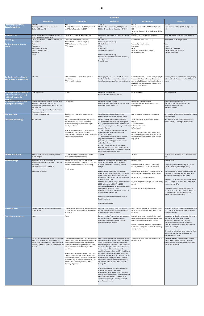|                                                                                                               | Municipality                                                                                                                                                                                                              |                                                                                                                                                                                                                                                                                                                                                                                                                                                                                                                                      |                                                                                                                                                                                                                                                                                                                                                                                                                                                                                                                                                                                                                                                                                                                                                                                                                                                                                                                                         |                                                                                                                                                                                                                                                                                                                                                                                                           |                                                                                                                                                                                                                                                                                                                                                                                                                                                                                                                                                                                                                                                      |
|---------------------------------------------------------------------------------------------------------------|---------------------------------------------------------------------------------------------------------------------------------------------------------------------------------------------------------------------------|--------------------------------------------------------------------------------------------------------------------------------------------------------------------------------------------------------------------------------------------------------------------------------------------------------------------------------------------------------------------------------------------------------------------------------------------------------------------------------------------------------------------------------------|-----------------------------------------------------------------------------------------------------------------------------------------------------------------------------------------------------------------------------------------------------------------------------------------------------------------------------------------------------------------------------------------------------------------------------------------------------------------------------------------------------------------------------------------------------------------------------------------------------------------------------------------------------------------------------------------------------------------------------------------------------------------------------------------------------------------------------------------------------------------------------------------------------------------------------------------|-----------------------------------------------------------------------------------------------------------------------------------------------------------------------------------------------------------------------------------------------------------------------------------------------------------------------------------------------------------------------------------------------------------|------------------------------------------------------------------------------------------------------------------------------------------------------------------------------------------------------------------------------------------------------------------------------------------------------------------------------------------------------------------------------------------------------------------------------------------------------------------------------------------------------------------------------------------------------------------------------------------------------------------------------------------------------|
|                                                                                                               | Saskatoon, SK                                                                                                                                                                                                             | <b>Edmonton, AB</b>                                                                                                                                                                                                                                                                                                                                                                                                                                                                                                                  | Calgary, AB                                                                                                                                                                                                                                                                                                                                                                                                                                                                                                                                                                                                                                                                                                                                                                                                                                                                                                                             | Vancouver, BC                                                                                                                                                                                                                                                                                                                                                                                             | Surrey, BC                                                                                                                                                                                                                                                                                                                                                                                                                                                                                                                                                                                                                                           |
| Population (2011 census)<br>Governing legislation                                                             | 222,189<br>Planning and Development Act, 2007<br>Section 169 and 172                                                                                                                                                      | 812.201<br>Municipal Government Act, 2000 (Division 6)<br>and Alberta Regulation 48/2004                                                                                                                                                                                                                                                                                                                                                                                                                                             | 1,096,833<br>Municipal Government Act, 2000 (Part 17,<br>Division 6) and Alberta Regulation 48/2004                                                                                                                                                                                                                                                                                                                                                                                                                                                                                                                                                                                                                                                                                                                                                                                                                                     | 603,502<br>Local Government Act (RSBC 2015), Section<br>933                                                                                                                                                                                                                                                                                                                                               | 468,251<br>Local Government Act (RSBC 2015), Section<br>933                                                                                                                                                                                                                                                                                                                                                                                                                                                                                                                                                                                          |
|                                                                                                               | 2015 Prepaid Servicing Rates (Direct and Off-                                                                                                                                                                             | Bylaw 14380, adopted September 2006                                                                                                                                                                                                                                                                                                                                                                                                                                                                                                  | Off-site Levy Bylaw 2M2016, approved January                                                                                                                                                                                                                                                                                                                                                                                                                                                                                                                                                                                                                                                                                                                                                                                                                                                                                            | Vancouver Charter, SCB 1953, Chapter 55, Part<br>XXIV - A<br>By-law No. 9755, enacted November 2008                                                                                                                                                                                                                                                                                                       | Bylaw No. 18664; came into effect May 2016                                                                                                                                                                                                                                                                                                                                                                                                                                                                                                                                                                                                           |
| <b>Municipal By-law</b>                                                                                       | site), approved November 2015                                                                                                                                                                                             |                                                                                                                                                                                                                                                                                                                                                                                                                                                                                                                                      | 2016<br>Off-site levies                                                                                                                                                                                                                                                                                                                                                                                                                                                                                                                                                                                                                                                                                                                                                                                                                                                                                                                 |                                                                                                                                                                                                                                                                                                                                                                                                           |                                                                                                                                                                                                                                                                                                                                                                                                                                                                                                                                                                                                                                                      |
| <b>Terminology</b>                                                                                            | Development Levies / Off-site levies / Prepaid<br>Service Rates                                                                                                                                                           | Permanent Area Contributon (PAC)<br>Arterial Roadway Assessment (ARA)                                                                                                                                                                                                                                                                                                                                                                                                                                                                | Community services charge                                                                                                                                                                                                                                                                                                                                                                                                                                                                                                                                                                                                                                                                                                                                                                                                                                                                                                               | Development Cost Levies (DCLs)                                                                                                                                                                                                                                                                                                                                                                            | Development Cost Charges (DCCs)                                                                                                                                                                                                                                                                                                                                                                                                                                                                                                                                                                                                                      |
| Services Recovered for under<br>By-law                                                                        | Water<br>Wastewater<br>Stormwater / Drainage<br>Roads / Transportation<br>Recreation<br>Parks                                                                                                                             | PAC: Wastewater and Stormwater<br>ARA: Roads                                                                                                                                                                                                                                                                                                                                                                                                                                                                                         | Off-site levies:<br>Water<br>Wastewater<br>Stormwater / Drainage<br>Community services charge:<br>Facilities (police stations, libraries, recreation,<br>emergency response)<br>Transit (buses)                                                                                                                                                                                                                                                                                                                                                                                                                                                                                                                                                                                                                                                                                                                                         | Engineering Infrastructure<br>Recreation<br>Parks<br>Social and Replacement Housing<br><b>Childcare Facilities</b>                                                                                                                                                                                                                                                                                        | Water<br>Sewer<br>Stormwater / Drainage<br>Roads (arterial and collector)<br>Parkland Acquisition                                                                                                                                                                                                                                                                                                                                                                                                                                                                                                                                                    |
| Do charges apply municipality-<br>wide or based on service areas?                                             | City-wide                                                                                                                                                                                                                 | PAC: Based on the area of development or<br>subdivision<br>ARA: By catchment area                                                                                                                                                                                                                                                                                                                                                                                                                                                    | Rates apply City-wide and are uniform across<br>the City's Established Area. Rates within the<br>Greenfield Area are specific to each watershed.                                                                                                                                                                                                                                                                                                                                                                                                                                                                                                                                                                                                                                                                                                                                                                                        | Generally City-wide. Additional charges apply to<br>three specific "layered" zones. Six separate<br>area-specific DCL zones are identified, but as of<br>July 2016, five of these zones will be merged<br>into the City-wide rates.                                                                                                                                                                       | Generally City-wide. Area specific charges apply<br>to the Anniedale-Tynehead and West Clayton<br>areas.                                                                                                                                                                                                                                                                                                                                                                                                                                                                                                                                             |
| Are charges land use specific or<br>uniform across land uses (e.g.<br>residential, commercial<br>industrial)? | Land use specific                                                                                                                                                                                                         | Uniform                                                                                                                                                                                                                                                                                                                                                                                                                                                                                                                              | Greenfield Area: Uniform<br>Established Area: Land use specific                                                                                                                                                                                                                                                                                                                                                                                                                                                                                                                                                                                                                                                                                                                                                                                                                                                                         | Land use specific                                                                                                                                                                                                                                                                                                                                                                                         | Land use specific                                                                                                                                                                                                                                                                                                                                                                                                                                                                                                                                                                                                                                    |
| Are charges applied to lot size,<br>building area or unit type?                                               | Lot-front metres for residential lots with area<br>ess than 1,000 sq. m., commercial<br>developments greater than 1,000 sq. m., and<br>ndustrial lots.<br>Per hectare charge for developments outside<br>hese parameters. | Per hectare                                                                                                                                                                                                                                                                                                                                                                                                                                                                                                                          | Greenfield Area: Per hectare<br>Established Area: By residential unit type or non-<br>residential square metre GFA                                                                                                                                                                                                                                                                                                                                                                                                                                                                                                                                                                                                                                                                                                                                                                                                                      | Residential: Per square metre<br>Non-residential: Per square metre or per<br>building permit                                                                                                                                                                                                                                                                                                              | Single family residential: Per lot<br>Multi-family residential and most non-<br>residential: Per square foot<br>Industrial: Per acre                                                                                                                                                                                                                                                                                                                                                                                                                                                                                                                 |
| <b>Timing of charge</b>                                                                                       | At time of building permit                                                                                                                                                                                                | Condition of a subdivision or development<br>permit                                                                                                                                                                                                                                                                                                                                                                                                                                                                                  | Greenfield Area: At time of subdivision<br>Established Area: At time of building permit                                                                                                                                                                                                                                                                                                                                                                                                                                                                                                                                                                                                                                                                                                                                                                                                                                                 | As a condition of building permit issuance                                                                                                                                                                                                                                                                                                                                                                | As a condition of subdivision approval or building<br>permit issuance                                                                                                                                                                                                                                                                                                                                                                                                                                                                                                                                                                                |
| <b>Calculation methodology</b>                                                                                | Not specified                                                                                                                                                                                                             | PAC: Each developer required to pay relative<br>share of on-site and off-site sewer and<br>stormwater management costs serving the<br>development area.<br>ARA: Total construction costs of the arterial<br>roads within a catchment are shared<br>proportionately based on the area of the subject<br>lands within the catchment.                                                                                                                                                                                                   | Generally, levies are calculated as follows:<br>1. Determine the projected population growth<br>for a specific timeframe and the land area that<br>will be absorbed by the population growth in that 2. Past level of service<br>same timeframe.<br>. Determine the infrastructure required to<br>service that land area and estimate the<br>infrastructure costs.<br>3. Determine the benefit allocation for each<br>project attributable to the projected new<br>population, the existing population and the<br>regional population.<br>4. Determine the levy rate by dividing the<br>estimated infrastructure costs attributable to<br>the future growth by the total hectares required<br>to serve the projected population.                                                                                                                                                                                                        | Three approaches to determining level of<br>service:<br>1. Standards-based<br>3. Plan-based<br>Include one-time capital costs serving new<br>growth (operating costs not included). Costs<br>reduced by contributions from other sources<br>(e.g. grants).                                                                                                                                                | DCC Rates = 10-year infrastructure costs to<br>service growth / 10-year growth projection                                                                                                                                                                                                                                                                                                                                                                                                                                                                                                                                                            |
| Forecast periods used                                                                                         | Rates adjusted annually according to annual<br>capital program                                                                                                                                                            | Cost estimates for each catchment area /<br>drainage basin updated annually                                                                                                                                                                                                                                                                                                                                                                                                                                                          | 10 years                                                                                                                                                                                                                                                                                                                                                                                                                                                                                                                                                                                                                                                                                                                                                                                                                                                                                                                                | 10 years                                                                                                                                                                                                                                                                                                                                                                                                  | 10 years (as outlined by City's 10-Year Servicing<br>Plan)                                                                                                                                                                                                                                                                                                                                                                                                                                                                                                                                                                                           |
| Amount of charge<br>Indexing provision                                                                        | Residential: \$1,870.90 per front m<br>nstitutional/Commercial/School: \$2,201.45<br>ber front m<br>Industrial: \$2,308.23 per front m<br>(approved Nov. 2015)<br>Rates adjusted annually according to annual             | Average ARA rate: \$191,170 per hectare<br>Expansion Assessment Charge of \$22,367 per<br>hectare added for sanitary trunk servicing<br>(2016 rates)<br>Rates adjusted based on the percentage change                                                                                                                                                                                                                                                                                                                                | Greenfield Area: Average off-site levy rate of<br>\$356,190 per hectare plus an additional<br>\$78,850 per hectare Community Services<br>Charge.<br>Established Area: Off-site levies calculated<br>based on average people per unit / per square<br>metre assumptions. Rates cover water and<br>wasterwater services only and are to be phased<br>in from 2016 to 2018.<br>Residential: \$2,089 per single detached unit in<br>2016; to increase to \$6,267 in 2018.<br>Commercial: \$12.21 per square metre in 2016;<br>to increase to \$36.62 in 2018.<br>Industrial: \$5.86 per square metre in 2016; to<br>increase to \$17.58 in 2018.<br>Community Service Charges do not apply to<br>Established Area.<br>(approved 2016 rates)<br>Rates adjusted annually using average Statistics                                                                                                                                             | City-wide rates:<br>Residential units at or below 1.2 FSR and<br>laneway homes: \$33.26 per square metre<br>Residential units over 1.2 FSR, commercial, and<br>most other uses: \$143.27 per square metre<br>Industrial: \$57.16 per square metre<br>Daycare, temporary buildings: \$10 per building<br>permit<br>(current rates as of September 2015)<br>Rates adjusted annually for changes in property | City-wide rates:<br>Single family residential: Average of \$36,806<br>per lot. Rates vary according to zoning.<br>Commercial: \$9.92 per sq. ft. (\$106.78 per sq.<br>m.) for the ground floor, plus \$5.62 per sq. ft.<br>(\$60.49 per sq. m.) for all other floors<br>Industrial: \$79,079 per acre (\$195,408 per ha),<br>plus \$14.20 per sq. ft. (\$152.85 per sq. m.) of<br>non-ground floor GFA<br>Institutional charges ranging from \$2.87 to<br>\$6.74 per sq. ft. (\$30.89 to \$72.55 per sq. m.)<br>for uses including schools, hospitals, and<br>federal and provincial buildings.<br>The City is proposing to increase rates by 10% in |
|                                                                                                               | capital program.                                                                                                                                                                                                          | in the Edmonton Non-Residential Construction<br>Price Index.                                                                                                                                                                                                                                                                                                                                                                                                                                                                         | Canada construction price index for Calgary for<br>previous four published quarters.                                                                                                                                                                                                                                                                                                                                                                                                                                                                                                                                                                                                                                                                                                                                                                                                                                                    | and construction inflation using public, third-<br>party data.                                                                                                                                                                                                                                                                                                                                            | 2017 and 2018. Consultation will be held for<br>each rate increase.                                                                                                                                                                                                                                                                                                                                                                                                                                                                                                                                                                                  |
| <b>Exemptions and discounts</b>                                                                               | None                                                                                                                                                                                                                      | None                                                                                                                                                                                                                                                                                                                                                                                                                                                                                                                                 | Density Incentive Program: Levy rate is capped<br>development within the Established Area<br>reaches density equivalent of 285 or more<br>people and jobs per hectare.                                                                                                                                                                                                                                                                                                                                                                                                                                                                                                                                                                                                                                                                                                                                                                  | Exemptions for certain uses including social<br>housing and churches. Small residential units<br>of 29 square metres or less are exempt.<br>Central Waterfront Port Lands snd False Creek<br>North areas exempt due to alternative funding<br>arrangements in place.                                                                                                                                      | Exemptions for dwelling units under 312 square<br>feet and for non-profit rental housing.<br>Development where the value of work<br>authorized by the permit does not exceed<br>\$100,000 for residential or \$50,000 or other<br>uses is also exempt.<br>No charge for agriculturel uses, except for those<br>falling within the Highway 99 Corridor and<br>Campbell Heights area.                                                                                                                                                                                                                                                                  |
| <b>Comments</b>                                                                                               | The City completed a Financing Growth Study in<br>April 2015. According to a staff report, as of<br>March 2016 the City was still in the process of<br>reviewing options to update its development levy<br>policies.      | PACs are payments for storm and sanitary trunk<br>sewers, storm water management facilities, and<br>other cost-sharable drainage improvements<br>within predefined drainage basins (land areas).<br>It is based on the area of development or<br>subdivision.<br>ARAs establish how developers will share the<br>costs of arterial roadway infrastructure. Each<br>development occurring within the catchment is<br>required to pay an assessment based on a per<br>hectare rate under the provisions of the<br>Servicing Agreement. | New by-law presents a drastic increase in rates<br>for greenfield development from 2015, as well<br>as the introduction of water and wastewater<br>service charges in Established Area. By-law was<br>introduced through extensive consultation with<br>industry stakeholders and received the<br>conditional support of the local NAIOP, UDI, and<br>Canadian Home Builders' Association groups.<br>As a result of agreements with these groups, the<br>City is currently carrying out a work plan for<br>continued industry collaboration and ongoing<br>assessment of the impacts of the new rates<br>through 2016.<br>Alberta's MGA allows for off-site levies to be<br>charged only for water, wastewater,<br>storm/drainage, and roads. The Community<br>Service Charges enacted are not enabled as off-<br>site levies within the MGA, but have been<br>established as accepted industry practice for<br>greenfield development. | The City is currently undertaking a review of its<br>City-wide DCLs                                                                                                                                                                                                                                                                                                                                       | In 2017 and 2018, it is proposed to increase<br>the DCC rates by approximately 10 percent.<br>Consultation will be held for these subsequent<br>annual rate increases.                                                                                                                                                                                                                                                                                                                                                                                                                                                                               |